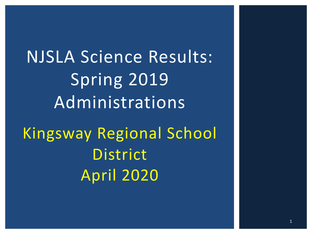NJSLA Science Results: Spring 2019 Administrations Kingsway Regional School District April 2020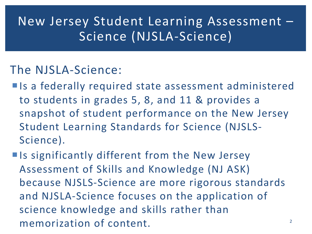## New Jersey Student Learning Assessment – Science (NJSLA-Science)

### The NJSLA-Science:

- **Is a federally required state assessment administered** to students in grades 5, 8, and 11 & provides a snapshot of student performance on the New Jersey Student Learning Standards for Science (NJSLS-Science).
- **Iour Set Is significantly different from the New Jersey** Assessment of Skills and Knowledge (NJ ASK) because NJSLS-Science are more rigorous standards and NJSLA-Science focuses on the application of science knowledge and skills rather than memorization of content.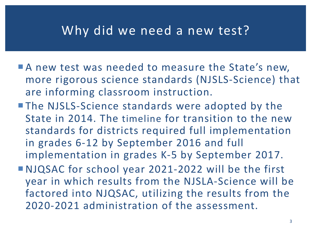### Why did we need a new test?

- A new test was needed to measure the State's new, more rigorous science standards (NJSLS-Science) that are informing classroom instruction.
- The NJSLS-Science standards were adopted by the State in 2014. The timeline for transition to the new standards for districts required full implementation in grades 6-12 by September 2016 and full implementation in grades K-5 by September 2017.
- ¡NJQSAC for school year 2021-2022 will be the first year in which results from the NJSLA-Science will be factored into NJQSAC, utilizing the results from the 2020-2021 administration of the assessment.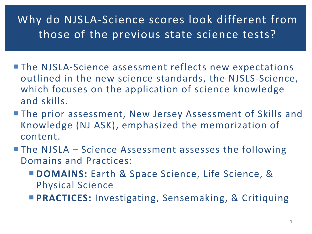### Why do NJSLA-Science scores look different from those of the previous state science tests?

- **The NJSLA-Science assessment reflects new expectations** outlined in the new science standards, the NJSLS-Science, which focuses on the application of science knowledge and skills.
- **The prior assessment, New Jersey Assessment of Skills and** Knowledge (NJ ASK), emphasized the memorization of content.
- **The NJSLA Science Assessment assesses the following** Domains and Practices:
	- ¡ **DOMAINS:** Earth & Space Science, Life Science, & Physical Science
	- **PRACTICES:** Investigating, Sensemaking, & Critiquing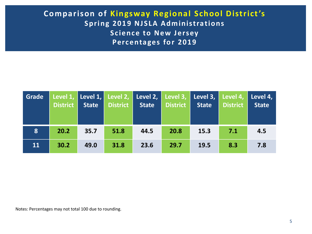#### **Comparison of Kingsway Regional School District's Spring 2019 NJSLA Administrations Science to New Jersey Percentages for 2019**

| Grade        | District | <b>State</b> | <b>District</b> | Level 1, Level 1, Level 2, Level 2, Level 3, Level 3, Level 4, Level 4,<br><b>State</b> | <b>District</b> | <b>State</b> | <b>District</b> | <b>State</b> |
|--------------|----------|--------------|-----------------|-----------------------------------------------------------------------------------------|-----------------|--------------|-----------------|--------------|
| $\mathbf{8}$ | 20.2     | 35.7         | 51.8            | 44.5                                                                                    | 20.8            | 15.3         | 7.1             | 4.5          |
| 11           | 30.2     | 49.0         | 31.8            | 23.6                                                                                    | 29.7            | 19.5         | 8.3             | 7.8          |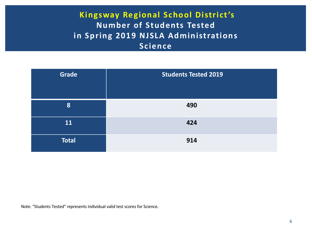#### **Kingsway Regional School District's Number of Students Tested in Spring 2019 NJSLA Administrations Science**

| <b>Grade</b> | <b>Students Tested 2019</b> |
|--------------|-----------------------------|
| 8            | 490                         |
| 11           | 424                         |
| <b>Total</b> | 914                         |

Note: "Students Tested" represents individual valid test scores for Science.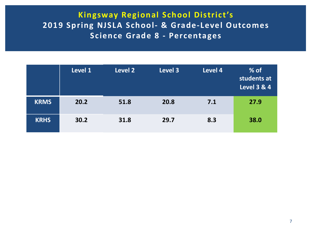#### **Kingsway Regional School District's 2019 Spring NJSLA School- & Grade-Level Outcomes Science Grade 8 - Percentages**

|             | Level 1 | Level 2 | Level 3 | Level 4 | $%$ of<br>students at<br><b>Level 3 &amp; 4</b> |
|-------------|---------|---------|---------|---------|-------------------------------------------------|
| <b>KRMS</b> | 20.2    | 51.8    | 20.8    | 7.1     | 27.9                                            |
| <b>KRHS</b> | 30.2    | 31.8    | 29.7    | 8.3     | 38.0                                            |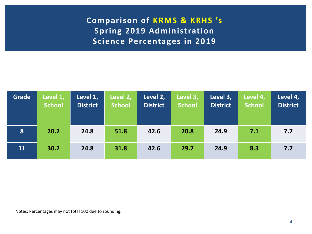**Comparison of KRMS & KRHS 's Spring 2019 Administration Science Percentages in 2019**

| <b>Grade</b> | Level 1,<br><b>School</b> | Level 1,<br><b>District</b> | Level 2,<br><b>School</b> | Level 2,<br><b>District</b> | Level 3,<br><b>School</b> | Level 3,<br><b>District</b> | Level 4,<br><b>School</b> | Level 4,<br><b>District</b> |
|--------------|---------------------------|-----------------------------|---------------------------|-----------------------------|---------------------------|-----------------------------|---------------------------|-----------------------------|
| 8            | 20.2                      | 24.8                        | 51.8                      | 42.6                        | 20.8                      | 24.9                        | 7.1                       | 7.7                         |
| 11           | 30.2                      | 24.8                        | 31.8                      | 42.6                        | 29.7                      | 24.9                        | 8.3                       | 7.7                         |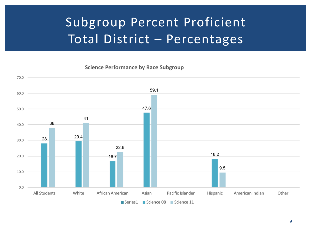# Subgroup Percent Proficient Total District – Percentages

**Science Performance by Race Subgroup** 

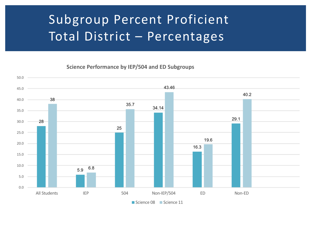## Subgroup Percent Proficient Total District – Percentages

Science Performance by IEP/504 and ED Subgroups

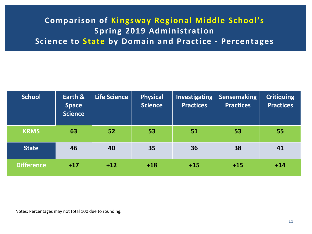### **Comparison of Kingsway Regional Middle School's Spring 2019 Administration Science to State by Domain and Practice - Percentages**

| <b>School</b>     | Earth &<br><b>Space</b><br><b>Science</b> | <b>Life Science</b> | <b>Physical</b><br><b>Science</b> | Investigating<br><b>Practices</b> | Sensemaking<br><b>Practices</b> | <b>Critiquing</b><br><b>Practices</b> |
|-------------------|-------------------------------------------|---------------------|-----------------------------------|-----------------------------------|---------------------------------|---------------------------------------|
| <b>KRMS</b>       | 63                                        | 52                  | 53                                | 51                                | 53                              | 55                                    |
| <b>State</b>      | 46                                        | 40                  | 35                                | 36                                | 38                              | 41                                    |
| <b>Difference</b> | $+17$                                     | $+12$               | $+18$                             | $+15$                             | $+15$                           | $+14$                                 |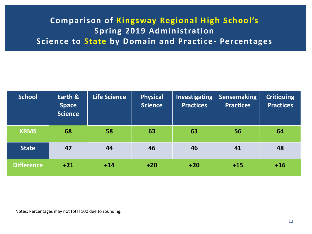### **Comparison of Kingsway Regional High School's Spring 2019 Administration Science to State by Domain and Practice- Percentages**

| <b>School</b>     | Earth &<br><b>Space</b><br><b>Science</b> | <b>Life Science</b> | <b>Physical</b><br><b>Science</b> | Investigating<br><b>Practices</b> | <b>Sensemaking</b><br><b>Practices</b> | <b>Critiquing</b><br><b>Practices</b> |
|-------------------|-------------------------------------------|---------------------|-----------------------------------|-----------------------------------|----------------------------------------|---------------------------------------|
| <b>KRMS</b>       | 68                                        | 58                  | 63                                | 63                                | 56                                     | 64                                    |
| <b>State</b>      | 47                                        | 44                  | 46                                | 46                                | 41                                     | 48                                    |
| <b>Difference</b> | $+21$                                     | $+14$               | $+20$                             | $+20$                             | $+15$                                  | $+16$                                 |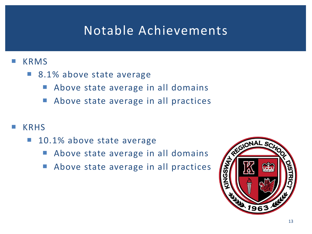## Notable Achievements

#### **KRMS**

- 8.1% above state average
	- **E** Above state average in all domains
	- Above state average in all practices
- **KRHS** 
	- 10.1% above state average
		- **Above state average in all domains**
		- Above state average in all practices

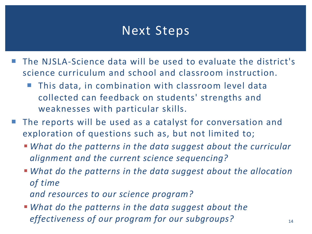### Next Steps

- The NJSLA-Science data will be used to evaluate the district's science curriculum and school and classroom instruction.
	- **This data, in combination with classroom level data** collected can feedback on students' strengths and weaknesses with particular skills.
- The reports will be used as a catalyst for conversation and exploration of questions such as, but not limited to;
	- § *What do the patterns in the data suggest about the curricular alignment and the current science sequencing?*
	- § *What do the patterns in the data suggest about the allocation of time*

*and resources to our science program?*

§ *What do the patterns in the data suggest about the effectiveness of our program for our subgroups?*  $14$